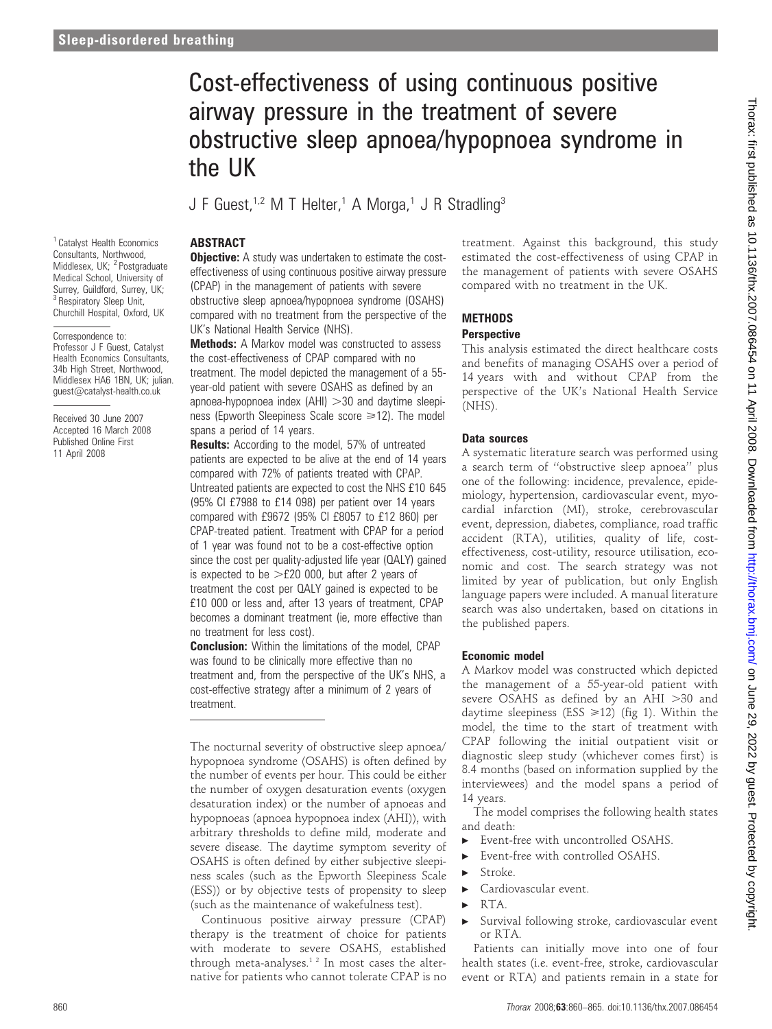# Cost-effectiveness of using continuous positive airway pressure in the treatment of severe obstructive sleep apnoea/hypopnoea syndrome in the UK

J F Guest,<sup>1,2</sup> M T Helter,<sup>1</sup> A Morga,<sup>1</sup> J R Stradling<sup>3</sup>

## ABSTRACT

<sup>1</sup> Catalyst Health Economics Consultants, Northwood, Middlesex, UK; <sup>2</sup> Postgraduate Medical School, University of Surrey, Guildford, Surrey, UK; <sup>3</sup> Respiratory Sleep Unit, Churchill Hospital, Oxford, UK

#### Correspondence to: Professor J F Guest, Catalyst

Health Economics Consultants, 34b High Street, Northwood, Middlesex HA6 1BN, UK; julian. guest@catalyst-health.co.uk

Received 30 June 2007 Accepted 16 March 2008 Published Online First 11 April 2008

**Objective:** A study was undertaken to estimate the costeffectiveness of using continuous positive airway pressure (CPAP) in the management of patients with severe obstructive sleep apnoea/hypopnoea syndrome (OSAHS) compared with no treatment from the perspective of the UK's National Health Service (NHS).

**Methods:** A Markov model was constructed to assess the cost-effectiveness of CPAP compared with no treatment. The model depicted the management of a 55 year-old patient with severe OSAHS as defined by an apnoea-hypopnoea index  $(AHI) > 30$  and daytime sleepiness (Epworth Sleepiness Scale score  $\geq 12$ ). The model spans a period of 14 years.

Results: According to the model, 57% of untreated patients are expected to be alive at the end of 14 years compared with 72% of patients treated with CPAP. Untreated patients are expected to cost the NHS £10 645 (95% CI £7988 to £14 098) per patient over 14 years compared with £9672 (95% CI £8057 to £12 860) per CPAP-treated patient. Treatment with CPAP for a period of 1 year was found not to be a cost-effective option since the cost per quality-adjusted life year (QALY) gained is expected to be  $>\epsilon$  20 000, but after 2 years of treatment the cost per QALY gained is expected to be £10 000 or less and, after 13 years of treatment, CPAP becomes a dominant treatment (ie, more effective than no treatment for less cost).

Conclusion: Within the limitations of the model, CPAP was found to be clinically more effective than no treatment and, from the perspective of the UK's NHS, a cost-effective strategy after a minimum of 2 years of treatment.

The nocturnal severity of obstructive sleep apnoea/ hypopnoea syndrome (OSAHS) is often defined by the number of events per hour. This could be either the number of oxygen desaturation events (oxygen desaturation index) or the number of apnoeas and hypopnoeas (apnoea hypopnoea index (AHI)), with arbitrary thresholds to define mild, moderate and severe disease. The daytime symptom severity of OSAHS is often defined by either subjective sleepiness scales (such as the Epworth Sleepiness Scale (ESS)) or by objective tests of propensity to sleep (such as the maintenance of wakefulness test).

Continuous positive airway pressure (CPAP) therapy is the treatment of choice for patients with moderate to severe OSAHS, established through meta-analyses. $12$  In most cases the alternative for patients who cannot tolerate CPAP is no

treatment. Against this background, this study estimated the cost-effectiveness of using CPAP in the management of patients with severe OSAHS compared with no treatment in the UK.

## **METHODS**

#### **Perspective**

This analysis estimated the direct healthcare costs and benefits of managing OSAHS over a period of 14 years with and without CPAP from the perspective of the UK's National Health Service (NHS).

## Data sources

A systematic literature search was performed using a search term of ''obstructive sleep apnoea'' plus one of the following: incidence, prevalence, epidemiology, hypertension, cardiovascular event, myocardial infarction (MI), stroke, cerebrovascular event, depression, diabetes, compliance, road traffic accident (RTA), utilities, quality of life, costeffectiveness, cost-utility, resource utilisation, economic and cost. The search strategy was not limited by year of publication, but only English language papers were included. A manual literature search was also undertaken, based on citations in the published papers.

## Economic model

A Markov model was constructed which depicted the management of a 55-year-old patient with severe OSAHS as defined by an AHI  $>30$  and daytime sleepiness (ESS  $\geq 12$ ) (fig 1). Within the model, the time to the start of treatment with CPAP following the initial outpatient visit or diagnostic sleep study (whichever comes first) is 8.4 months (based on information supplied by the interviewees) and the model spans a period of 14 years.

The model comprises the following health states and death:

- Event-free with uncontrolled OSAHS.
- $\blacktriangleright$  Event-free with controlled OSAHS.
- $\blacktriangleright$  Stroke.
- $\blacktriangleright$  Cardiovascular event.
- RTA.
- $\blacktriangleright$  Survival following stroke, cardiovascular event or RTA.

Patients can initially move into one of four health states (i.e. event-free, stroke, cardiovascular event or RTA) and patients remain in a state for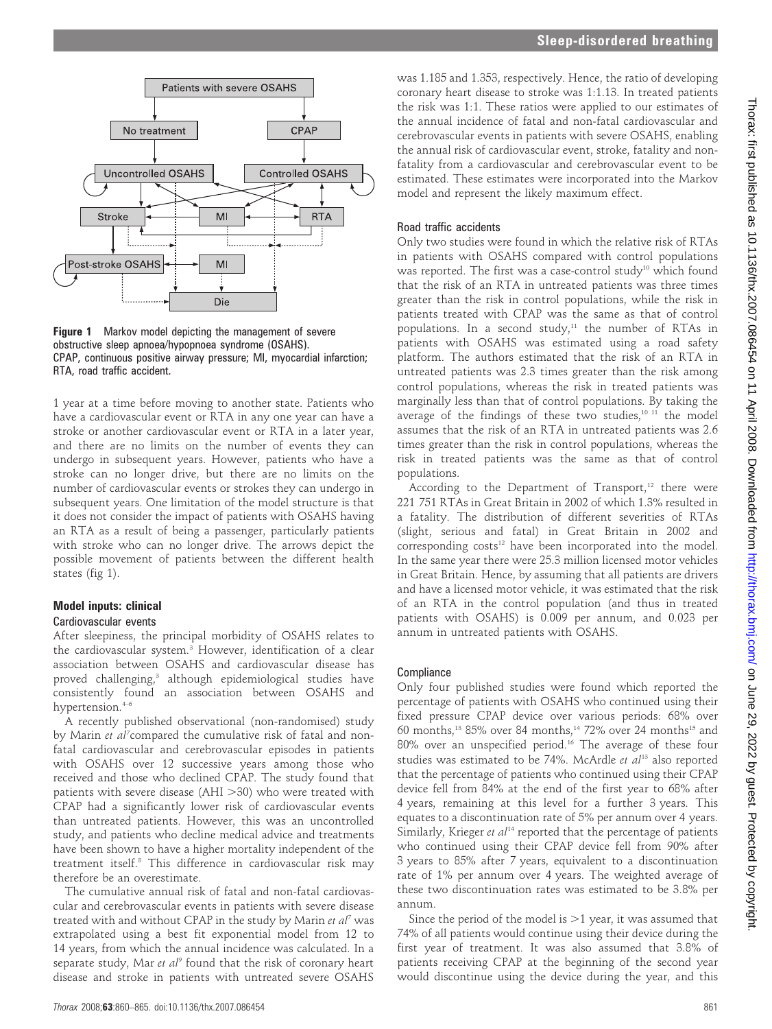

**Figure 1** Markov model depicting the management of severe obstructive sleep apnoea/hypopnoea syndrome (OSAHS). CPAP, continuous positive airway pressure; MI, myocardial infarction; RTA, road traffic accident.

1 year at a time before moving to another state. Patients who have a cardiovascular event or RTA in any one year can have a stroke or another cardiovascular event or RTA in a later year, and there are no limits on the number of events they can undergo in subsequent years. However, patients who have a stroke can no longer drive, but there are no limits on the number of cardiovascular events or strokes they can undergo in subsequent years. One limitation of the model structure is that it does not consider the impact of patients with OSAHS having an RTA as a result of being a passenger, particularly patients with stroke who can no longer drive. The arrows depict the possible movement of patients between the different health states (fig 1).

#### Model inputs: clinical

#### Cardiovascular events

After sleepiness, the principal morbidity of OSAHS relates to the cardiovascular system.<sup>3</sup> However, identification of a clear association between OSAHS and cardiovascular disease has proved challenging,<sup>3</sup> although epidemiological studies have consistently found an association between OSAHS and hypertension.<sup>4–6</sup>

A recently published observational (non-randomised) study by Marin *et al*<sup>7</sup>compared the cumulative risk of fatal and nonfatal cardiovascular and cerebrovascular episodes in patients with OSAHS over 12 successive years among those who received and those who declined CPAP. The study found that patients with severe disease (AHI  $>$ 30) who were treated with CPAP had a significantly lower risk of cardiovascular events than untreated patients. However, this was an uncontrolled study, and patients who decline medical advice and treatments have been shown to have a higher mortality independent of the treatment itself.<sup>8</sup> This difference in cardiovascular risk may therefore be an overestimate.

The cumulative annual risk of fatal and non-fatal cardiovascular and cerebrovascular events in patients with severe disease treated with and without CPAP in the study by Marin et al<sup>7</sup> was extrapolated using a best fit exponential model from 12 to 14 years, from which the annual incidence was calculated. In a separate study, Mar et  $al^9$  found that the risk of coronary heart disease and stroke in patients with untreated severe OSAHS

#### Sleep-disordered breathing

was 1.185 and 1.353, respectively. Hence, the ratio of developing coronary heart disease to stroke was 1:1.13. In treated patients the risk was 1:1. These ratios were applied to our estimates of the annual incidence of fatal and non-fatal cardiovascular and cerebrovascular events in patients with severe OSAHS, enabling the annual risk of cardiovascular event, stroke, fatality and nonfatality from a cardiovascular and cerebrovascular event to be estimated. These estimates were incorporated into the Markov model and represent the likely maximum effect.

#### Road traffic accidents

Only two studies were found in which the relative risk of RTAs in patients with OSAHS compared with control populations was reported. The first was a case-control study<sup>10</sup> which found that the risk of an RTA in untreated patients was three times greater than the risk in control populations, while the risk in patients treated with CPAP was the same as that of control populations. In a second study, $11$  the number of RTAs in patients with OSAHS was estimated using a road safety platform. The authors estimated that the risk of an RTA in untreated patients was 2.3 times greater than the risk among control populations, whereas the risk in treated patients was marginally less than that of control populations. By taking the average of the findings of these two studies, $10^{-11}$  the model assumes that the risk of an RTA in untreated patients was 2.6 times greater than the risk in control populations, whereas the risk in treated patients was the same as that of control populations.

According to the Department of Transport, $12$  there were 221 751 RTAs in Great Britain in 2002 of which 1.3% resulted in a fatality. The distribution of different severities of RTAs (slight, serious and fatal) in Great Britain in 2002 and corresponding costs<sup>12</sup> have been incorporated into the model. In the same year there were 25.3 million licensed motor vehicles in Great Britain. Hence, by assuming that all patients are drivers and have a licensed motor vehicle, it was estimated that the risk of an RTA in the control population (and thus in treated patients with OSAHS) is 0.009 per annum, and 0.023 per annum in untreated patients with OSAHS.

#### Compliance

Only four published studies were found which reported the percentage of patients with OSAHS who continued using their fixed pressure CPAP device over various periods: 68% over 60 months,<sup>13</sup> 85% over 84 months,<sup>14</sup> 72% over 24 months<sup>15</sup> and 80% over an unspecified period.<sup>16</sup> The average of these four studies was estimated to be 74%. McArdle et  $al^{13}$  also reported that the percentage of patients who continued using their CPAP device fell from 84% at the end of the first year to 68% after 4 years, remaining at this level for a further 3 years. This equates to a discontinuation rate of 5% per annum over 4 years. Similarly, Krieger et  $aI<sup>14</sup>$  reported that the percentage of patients who continued using their CPAP device fell from 90% after 3 years to 85% after 7 years, equivalent to a discontinuation rate of 1% per annum over 4 years. The weighted average of these two discontinuation rates was estimated to be 3.8% per annum.

Since the period of the model is  $>1$  year, it was assumed that 74% of all patients would continue using their device during the first year of treatment. It was also assumed that 3.8% of patients receiving CPAP at the beginning of the second year would discontinue using the device during the year, and this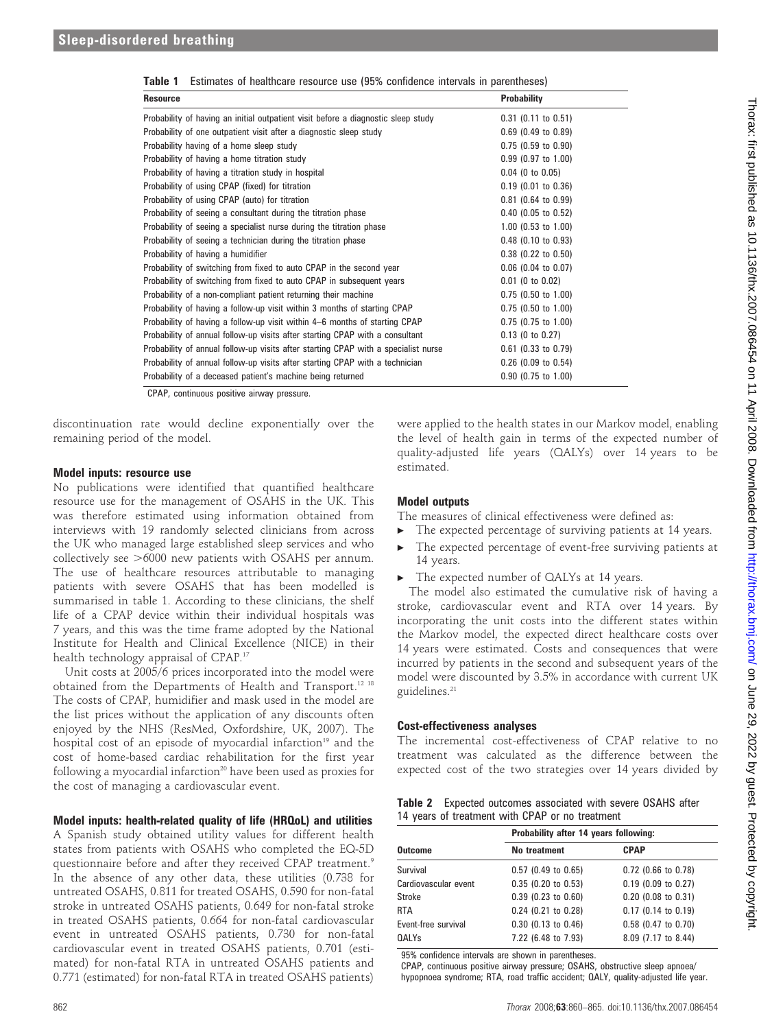|  |  |  |  |  |  |  |  |  | Table 1 Estimates of healthcare resource use (95% confidence intervals in parentheses) |
|--|--|--|--|--|--|--|--|--|----------------------------------------------------------------------------------------|
|--|--|--|--|--|--|--|--|--|----------------------------------------------------------------------------------------|

| <b>Resource</b>                                                                    | <b>Probability</b>    |
|------------------------------------------------------------------------------------|-----------------------|
| Probability of having an initial outpatient visit before a diagnostic sleep study  | $0.31$ (0.11 to 0.51) |
| Probability of one outpatient visit after a diagnostic sleep study                 | $0.69$ (0.49 to 0.89) |
| Probability having of a home sleep study                                           | $0.75$ (0.59 to 0.90) |
| Probability of having a home titration study                                       | $0.99$ (0.97 to 1.00) |
| Probability of having a titration study in hospital                                | $0.04$ (0 to $0.05$ ) |
| Probability of using CPAP (fixed) for titration                                    | $0.19$ (0.01 to 0.36) |
| Probability of using CPAP (auto) for titration                                     | $0.81$ (0.64 to 0.99) |
| Probability of seeing a consultant during the titration phase                      | $0.40$ (0.05 to 0.52) |
| Probability of seeing a specialist nurse during the titration phase                | $1.00$ (0.53 to 1.00) |
| Probability of seeing a technician during the titration phase                      | $0.48$ (0.10 to 0.93) |
| Probability of having a humidifier                                                 | $0.38$ (0.22 to 0.50) |
| Probability of switching from fixed to auto CPAP in the second year                | $0.06$ (0.04 to 0.07) |
| Probability of switching from fixed to auto CPAP in subsequent years               | $0.01$ (0 to $0.02$ ) |
| Probability of a non-compliant patient returning their machine                     | $0.75$ (0.50 to 1.00) |
| Probability of having a follow-up visit within 3 months of starting CPAP           | $0.75$ (0.50 to 1.00) |
| Probability of having a follow-up visit within 4–6 months of starting CPAP         | $0.75$ (0.75 to 1.00) |
| Probability of annual follow-up visits after starting CPAP with a consultant       | $0.13$ (0 to $0.27$ ) |
| Probability of annual follow-up visits after starting CPAP with a specialist nurse | $0.61$ (0.33 to 0.79) |
| Probability of annual follow-up visits after starting CPAP with a technician       | $0.26$ (0.09 to 0.54) |
| Probability of a deceased patient's machine being returned                         | $0.90$ (0.75 to 1.00) |

CPAP, continuous positive airway pressure.

discontinuation rate would decline exponentially over the remaining period of the model.

#### Model inputs: resource use

No publications were identified that quantified healthcare resource use for the management of OSAHS in the UK. This was therefore estimated using information obtained from interviews with 19 randomly selected clinicians from across the UK who managed large established sleep services and who collectively see  $>6000$  new patients with OSAHS per annum. The use of healthcare resources attributable to managing patients with severe OSAHS that has been modelled is summarised in table 1. According to these clinicians, the shelf life of a CPAP device within their individual hospitals was 7 years, and this was the time frame adopted by the National Institute for Health and Clinical Excellence (NICE) in their health technology appraisal of CPAP.17

Unit costs at 2005/6 prices incorporated into the model were obtained from the Departments of Health and Transport.<sup>12 18</sup> The costs of CPAP, humidifier and mask used in the model are the list prices without the application of any discounts often enjoyed by the NHS (ResMed, Oxfordshire, UK, 2007). The hospital cost of an episode of myocardial infarction<sup>19</sup> and the cost of home-based cardiac rehabilitation for the first year following a myocardial infarction<sup>20</sup> have been used as proxies for the cost of managing a cardiovascular event.

## Model inputs: health-related quality of life (HRQoL) and utilities

A Spanish study obtained utility values for different health states from patients with OSAHS who completed the EQ-5D questionnaire before and after they received CPAP treatment.<sup>9</sup> In the absence of any other data, these utilities (0.738 for untreated OSAHS, 0.811 for treated OSAHS, 0.590 for non-fatal stroke in untreated OSAHS patients, 0.649 for non-fatal stroke in treated OSAHS patients, 0.664 for non-fatal cardiovascular event in untreated OSAHS patients, 0.730 for non-fatal cardiovascular event in treated OSAHS patients, 0.701 (estimated) for non-fatal RTA in untreated OSAHS patients and 0.771 (estimated) for non-fatal RTA in treated OSAHS patients)

were applied to the health states in our Markov model, enabling the level of health gain in terms of the expected number of quality-adjusted life years (QALYs) over 14 years to be estimated.

## Model outputs

The measures of clinical effectiveness were defined as:

- The expected percentage of surviving patients at 14 years. The expected percentage of event-free surviving patients at 14 years.
- The expected number of QALYs at 14 years.

The model also estimated the cumulative risk of having a stroke, cardiovascular event and RTA over 14 years. By incorporating the unit costs into the different states within the Markov model, the expected direct healthcare costs over 14 years were estimated. Costs and consequences that were incurred by patients in the second and subsequent years of the model were discounted by 3.5% in accordance with current UK guidelines.<sup>21</sup>

## Cost-effectiveness analyses

The incremental cost-effectiveness of CPAP relative to no treatment was calculated as the difference between the expected cost of the two strategies over 14 years divided by

| <b>Table 2</b> Expected outcomes associated with severe OSAHS after |
|---------------------------------------------------------------------|
| 14 years of treatment with CPAP or no treatment                     |

| Probability after 14 years following: |                       |  |  |  |  |  |
|---------------------------------------|-----------------------|--|--|--|--|--|
| No treatment                          | <b>CPAP</b>           |  |  |  |  |  |
| $0.57$ (0.49 to 0.65)                 | 0.72 (0.66 to 0.78)   |  |  |  |  |  |
| 0.35 (0.20 to 0.53)                   | $0.19$ (0.09 to 0.27) |  |  |  |  |  |
| $0.39$ (0.23 to $0.60$ )              | $0.20$ (0.08 to 0.31) |  |  |  |  |  |
| 0.24 (0.21 to 0.28)                   | $0.17$ (0.14 to 0.19) |  |  |  |  |  |
| $0.30$ (0.13 to 0.46)                 | 0.58 (0.47 to 0.70)   |  |  |  |  |  |
| 7.22 (6.48 to 7.93)                   | 8.09 (7.17 to 8.44)   |  |  |  |  |  |
|                                       |                       |  |  |  |  |  |

95% confidence intervals are shown in parentheses.

CPAP, continuous positive airway pressure; OSAHS, obstructive sleep apnoea/ hypopnoea syndrome; RTA, road traffic accident; QALY, quality-adjusted life year.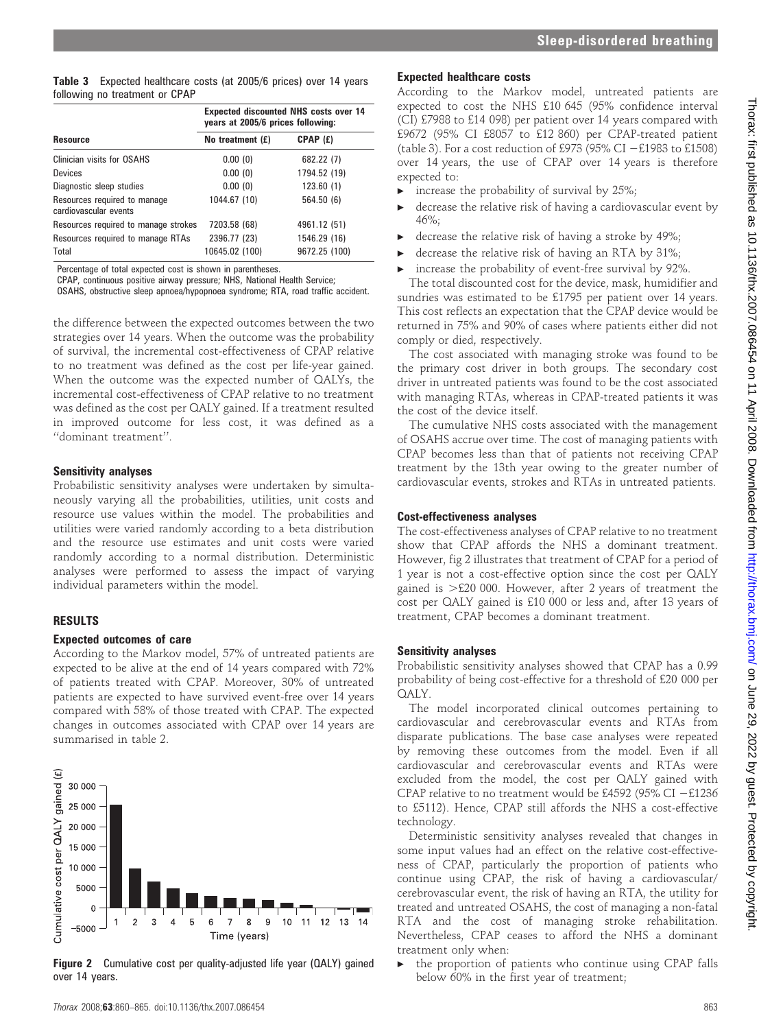#### Table 3 Expected healthcare costs (at 2005/6 prices) over 14 years following no treatment or CPAP

|                                                       | <b>Expected discounted NHS costs over 14</b><br>years at 2005/6 prices following: |               |  |  |  |  |
|-------------------------------------------------------|-----------------------------------------------------------------------------------|---------------|--|--|--|--|
| <b>Resource</b>                                       | No treatment $(f)$                                                                | $CPAP$ $(f)$  |  |  |  |  |
| Clinician visits for OSAHS                            | 0.00(0)                                                                           | 682.22 (7)    |  |  |  |  |
| Devices                                               | 0.00(0)                                                                           | 1794.52 (19)  |  |  |  |  |
| Diagnostic sleep studies                              | 0.00(0)                                                                           | 123.60(1)     |  |  |  |  |
| Resources required to manage<br>cardiovascular events | 1044.67 (10)                                                                      | 564.50 (6)    |  |  |  |  |
| Resources required to manage strokes                  | 7203.58 (68)                                                                      | 4961.12 (51)  |  |  |  |  |
| Resources required to manage RTAs                     | 2396.77 (23)                                                                      | 1546.29 (16)  |  |  |  |  |
| Total                                                 | 10645.02 (100)                                                                    | 9672.25 (100) |  |  |  |  |

Percentage of total expected cost is shown in parentheses

CPAP, continuous positive airway pressure; NHS, National Health Service; OSAHS, obstructive sleep apnoea/hypopnoea syndrome; RTA, road traffic accident.

the difference between the expected outcomes between the two strategies over 14 years. When the outcome was the probability of survival, the incremental cost-effectiveness of CPAP relative to no treatment was defined as the cost per life-year gained. When the outcome was the expected number of QALYs, the incremental cost-effectiveness of CPAP relative to no treatment was defined as the cost per QALY gained. If a treatment resulted in improved outcome for less cost, it was defined as a ''dominant treatment''.

#### Sensitivity analyses

Probabilistic sensitivity analyses were undertaken by simultaneously varying all the probabilities, utilities, unit costs and resource use values within the model. The probabilities and utilities were varied randomly according to a beta distribution and the resource use estimates and unit costs were varied randomly according to a normal distribution. Deterministic analyses were performed to assess the impact of varying individual parameters within the model.

## RESULTS

## Expected outcomes of care

According to the Markov model, 57% of untreated patients are expected to be alive at the end of 14 years compared with 72% of patients treated with CPAP. Moreover, 30% of untreated patients are expected to have survived event-free over 14 years compared with 58% of those treated with CPAP. The expected changes in outcomes associated with CPAP over 14 years are summarised in table 2.



Figure 2 Cumulative cost per quality-adjusted life year (QALY) gained over 14 years.

According to the Markov model, untreated patients are expected to cost the NHS £10 645 (95% confidence interval (CI) £7988 to £14 098) per patient over 14 years compared with £9672 (95% CI £8057 to £12 860) per CPAP-treated patient (table 3). For a cost reduction of £973 (95% CI  $-$ £1983 to £1508) over 14 years, the use of CPAP over 14 years is therefore expected to:

- increase the probability of survival by  $25\%$ ;
- decrease the relative risk of having a cardiovascular event by 46%;
- decrease the relative risk of having a stroke by 49%;
- decrease the relative risk of having an RTA by 31%;
- increase the probability of event-free survival by 92%. The total discounted cost for the device, mask, humidifier and sundries was estimated to be £1795 per patient over 14 years. This cost reflects an expectation that the CPAP device would be returned in 75% and 90% of cases where patients either did not comply or died, respectively.

The cost associated with managing stroke was found to be the primary cost driver in both groups. The secondary cost driver in untreated patients was found to be the cost associated with managing RTAs, whereas in CPAP-treated patients it was the cost of the device itself.

The cumulative NHS costs associated with the management of OSAHS accrue over time. The cost of managing patients with CPAP becomes less than that of patients not receiving CPAP treatment by the 13th year owing to the greater number of cardiovascular events, strokes and RTAs in untreated patients.

## Cost-effectiveness analyses

The cost-effectiveness analyses of CPAP relative to no treatment show that CPAP affords the NHS a dominant treatment. However, fig 2 illustrates that treatment of CPAP for a period of 1 year is not a cost-effective option since the cost per QALY gained is  $>\varepsilon$ 20 000. However, after 2 years of treatment the cost per QALY gained is £10 000 or less and, after 13 years of treatment, CPAP becomes a dominant treatment.

## Sensitivity analyses

Probabilistic sensitivity analyses showed that CPAP has a 0.99 probability of being cost-effective for a threshold of £20 000 per QALY.

The model incorporated clinical outcomes pertaining to cardiovascular and cerebrovascular events and RTAs from disparate publications. The base case analyses were repeated by removing these outcomes from the model. Even if all cardiovascular and cerebrovascular events and RTAs were excluded from the model, the cost per QALY gained with CPAP relative to no treatment would be £4592 (95% CI  $-$ £1236 to £5112). Hence, CPAP still affords the NHS a cost-effective technology.

Deterministic sensitivity analyses revealed that changes in some input values had an effect on the relative cost-effectiveness of CPAP, particularly the proportion of patients who continue using CPAP, the risk of having a cardiovascular/ cerebrovascular event, the risk of having an RTA, the utility for treated and untreated OSAHS, the cost of managing a non-fatal RTA and the cost of managing stroke rehabilitation. Nevertheless, CPAP ceases to afford the NHS a dominant treatment only when:

 $\blacktriangleright$  the proportion of patients who continue using CPAP falls below 60% in the first year of treatment;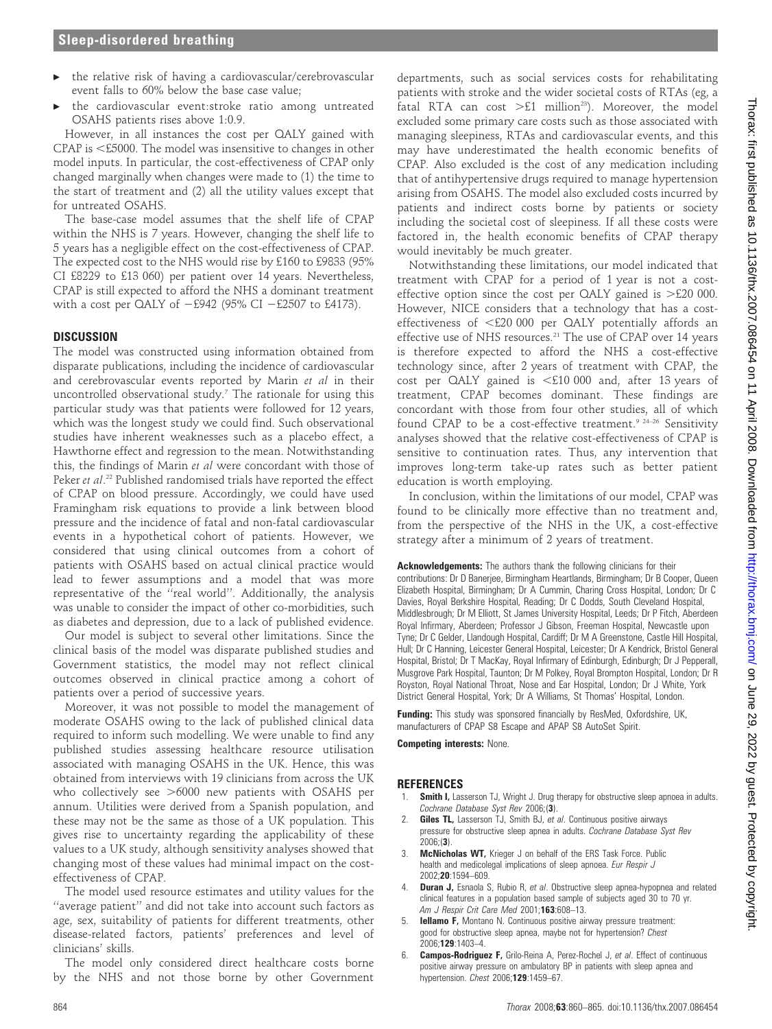- the relative risk of having a cardiovascular/cerebrovascular event falls to 60% below the base case value;
- the cardiovascular event:stroke ratio among untreated OSAHS patients rises above 1:0.9.

However, in all instances the cost per QALY gained with  $CPAP$  is  $\leq$  £5000. The model was insensitive to changes in other model inputs. In particular, the cost-effectiveness of CPAP only changed marginally when changes were made to (1) the time to the start of treatment and (2) all the utility values except that for untreated OSAHS.

The base-case model assumes that the shelf life of CPAP within the NHS is 7 years. However, changing the shelf life to 5 years has a negligible effect on the cost-effectiveness of CPAP. The expected cost to the NHS would rise by £160 to £9833 (95% CI £8229 to £13 060) per patient over 14 years. Nevertheless, CPAP is still expected to afford the NHS a dominant treatment with a cost per QALY of  $-£942$  (95% CI  $-£2507$  to £4173).

#### **DISCUSSION**

The model was constructed using information obtained from disparate publications, including the incidence of cardiovascular and cerebrovascular events reported by Marin et al in their uncontrolled observational study.7 The rationale for using this particular study was that patients were followed for 12 years, which was the longest study we could find. Such observational studies have inherent weaknesses such as a placebo effect, a Hawthorne effect and regression to the mean. Notwithstanding this, the findings of Marin et al were concordant with those of Peker *et al*.<sup>22</sup> Published randomised trials have reported the effect of CPAP on blood pressure. Accordingly, we could have used Framingham risk equations to provide a link between blood pressure and the incidence of fatal and non-fatal cardiovascular events in a hypothetical cohort of patients. However, we considered that using clinical outcomes from a cohort of patients with OSAHS based on actual clinical practice would lead to fewer assumptions and a model that was more representative of the ''real world''. Additionally, the analysis was unable to consider the impact of other co-morbidities, such as diabetes and depression, due to a lack of published evidence.

Our model is subject to several other limitations. Since the clinical basis of the model was disparate published studies and Government statistics, the model may not reflect clinical outcomes observed in clinical practice among a cohort of patients over a period of successive years.

Moreover, it was not possible to model the management of moderate OSAHS owing to the lack of published clinical data required to inform such modelling. We were unable to find any published studies assessing healthcare resource utilisation associated with managing OSAHS in the UK. Hence, this was obtained from interviews with 19 clinicians from across the UK who collectively see  $>6000$  new patients with OSAHS per annum. Utilities were derived from a Spanish population, and these may not be the same as those of a UK population. This gives rise to uncertainty regarding the applicability of these values to a UK study, although sensitivity analyses showed that changing most of these values had minimal impact on the costeffectiveness of CPAP.

The model used resource estimates and utility values for the ''average patient'' and did not take into account such factors as age, sex, suitability of patients for different treatments, other disease-related factors, patients' preferences and level of clinicians' skills.

The model only considered direct healthcare costs borne by the NHS and not those borne by other Government

departments, such as social services costs for rehabilitating patients with stroke and the wider societal costs of RTAs (eg, a fatal RTA can cost  $>E1$  million<sup>23</sup>). Moreover, the model excluded some primary care costs such as those associated with managing sleepiness, RTAs and cardiovascular events, and this may have underestimated the health economic benefits of CPAP. Also excluded is the cost of any medication including that of antihypertensive drugs required to manage hypertension arising from OSAHS. The model also excluded costs incurred by patients and indirect costs borne by patients or society including the societal cost of sleepiness. If all these costs were factored in, the health economic benefits of CPAP therapy would inevitably be much greater.

Notwithstanding these limitations, our model indicated that treatment with CPAP for a period of 1 year is not a costeffective option since the cost per  $QALY$  gained is  $\geq E20000$ . However, NICE considers that a technology that has a costeffectiveness of  $\leq$ £20 000 per QALY potentially affords an effective use of NHS resources.<sup>21</sup> The use of CPAP over 14 years is therefore expected to afford the NHS a cost-effective technology since, after 2 years of treatment with CPAP, the cost per  $QALY$  gained is <£10 000 and, after 13 years of treatment, CPAP becomes dominant. These findings are concordant with those from four other studies, all of which found CPAP to be a cost-effective treatment.<sup>9 24-26</sup> Sensitivity analyses showed that the relative cost-effectiveness of CPAP is sensitive to continuation rates. Thus, any intervention that improves long-term take-up rates such as better patient education is worth employing.

In conclusion, within the limitations of our model, CPAP was found to be clinically more effective than no treatment and, from the perspective of the NHS in the UK, a cost-effective strategy after a minimum of 2 years of treatment.

Acknowledgements: The authors thank the following clinicians for their contributions: Dr D Banerjee, Birmingham Heartlands, Birmingham; Dr B Cooper, Queen Elizabeth Hospital, Birmingham; Dr A Cummin, Charing Cross Hospital, London; Dr C Davies, Royal Berkshire Hospital, Reading; Dr C Dodds, South Cleveland Hospital, Middlesbrough; Dr M Elliott, St James University Hospital, Leeds; Dr P Fitch, Aberdeen Royal Infirmary, Aberdeen; Professor J Gibson, Freeman Hospital, Newcastle upon Tyne; Dr C Gelder, Llandough Hospital, Cardiff; Dr M A Greenstone, Castle Hill Hospital, Hull; Dr C Hanning, Leicester General Hospital, Leicester; Dr A Kendrick, Bristol General Hospital, Bristol; Dr T MacKay, Royal Infirmary of Edinburgh, Edinburgh; Dr J Pepperall, Musgrove Park Hospital, Taunton; Dr M Polkey, Royal Brompton Hospital, London; Dr R Royston, Royal National Throat, Nose and Ear Hospital, London; Dr J White, York District General Hospital, York; Dr A Williams, St Thomas' Hospital, London.

Funding: This study was sponsored financially by ResMed, Oxfordshire, UK, manufacturers of CPAP S8 Escape and APAP S8 AutoSet Spirit.

Competing interests: None.

#### **REFERENCES**

- Smith I, Lasserson TJ, Wright J. Drug therapy for obstructive sleep apnoea in adults. Cochrane Database Syst Rev 2006; (3).
- Giles TL, Lasserson TJ, Smith BJ, et al. Continuous positive airways pressure for obstructive sleep apnea in adults. Cochrane Database Syst Rev 2006;(3).
- 3. McNicholas WT, Krieger J on behalf of the ERS Task Force. Public health and medicolegal implications of sleep apnoea. Eur Respir J 2002;20:1594–609.
- **Duran J,** Esnaola S, Rubio R, et al. Obstructive sleep apnea-hypopnea and related clinical features in a population based sample of subjects aged 30 to 70 yr. Am J Respir Crit Care Med 2001;163:608-13.
- 5. Iellamo F, Montano N. Continuous positive airway pressure treatment: good for obstructive sleep apnea, maybe not for hypertension? Chest 2006;129:1403–4.
- Campos-Rodriguez F, Grilo-Reina A, Perez-Rochel J, et al. Effect of continuous positive airway pressure on ambulatory BP in patients with sleep apnea and hypertension. Chest 2006;129:1459–67.